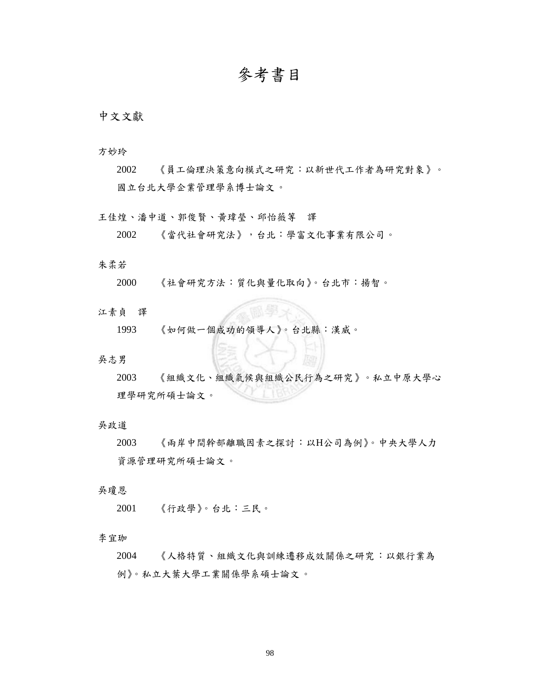# **參考書目**

# **中文文獻**

方妙玲

2002 《員工倫理決策意向模式之研究:以新世代工作者為研究對象》。 國立台北大學企業管理學系博士論文。

王佳煌、潘中道、郭俊賢、黃瑋瑩、邱怡薇等 譯

```
2002 《當代社會研究法》,台北:學富文化事業有限公司。
```
## 朱柔若

2000 《社會研究方法:質化與量化取向》。台北市:揚智。

## 江素貞 譯

1993 《如何做一個成功的領導人》。台北縣:漢威。

## 吳志男

2003 《組織文化、組織氣候與組織公民行為之研究》。私立中原大學心 理學研究所碩士論文。

## 吳政道

2003 《兩岸中間幹部離職因素之探討:以H公司為例》。中央大學人力 資源管理研究所碩士論文。

## 吳瓊恩

2001 《行政學》。台北:三民。

#### 李宜珈

2004 《人格特質、組織文化與訓練遷移成效關係之研究:以銀行業為 例》。私立大葉大學工業關係學系碩士論文。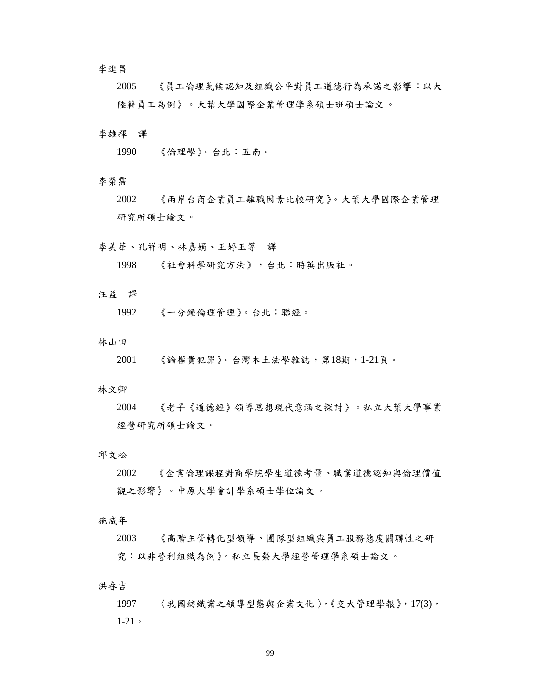## 李進昌

2005 《員工倫理氣候認知及組織公平對員工道德行為承諾之影響:以大 陸籍員工為例》。大葉大學國際企業管理學系碩士班碩士論文 。

## 李雄揮 譯

1990 《倫理學》。台北:五南。

#### 李榮霈

2002 《兩岸台商企業員工離職因素比較研究》。大葉大學國際企業管理 研究所碩士論文。

#### 李美華、孔祥明、林嘉娟、王婷玉等 譯

1998 《社會科學研究方法》,台北:時英出版社。

## 汪益 譯

1992 《一分鐘倫理管理》。台北:聯經。

#### 林山田

2001 《論權貴犯罪》。台灣本土法學雜誌,第18期,1-21頁。

#### 林文卿

2004 《老子《道德經》領導思想現代意涵之探討》。私立大葉大學事業 經營研究所碩士論文。

## 邱文松

2002 《企業倫理課程對商學院學生道德考量、職業道德認知與倫理價值 觀之影響》。中原大學會計學系碩士學位論文。

施威年

2003 《高階主管轉化型領導、團隊型組織與員工服務態度關聯性之研 究:以非營利組織為例》。私立長榮大學經營管理學系碩士論文。

洪春吉

1997 〈我國紡織業之領導型態與企業文化〉,《交大管理學報》,17(3), 1-21。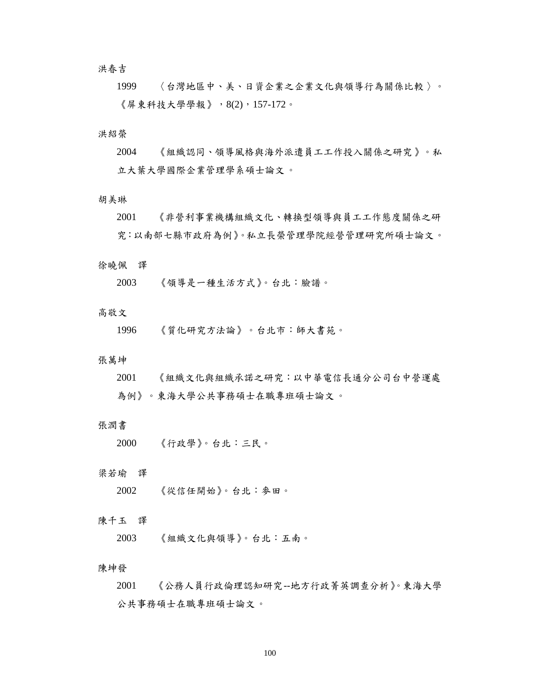洪春吉

1999 〈台灣地區中、美、日資企業之企業文化與領導行為關係比較 〉。 《屏東科技大學學報》,8(2),157-172。

## 洪紹榮

2004 《組織認同、領導風格與海外派遣員工工作投入關係之研究 》。私 立大葉大學國際企業管理學系碩士論文。

#### 胡美琳

2001 《非營利事業機構組織文化、轉換型領導與員工工作態度關係之研 究:以南部七縣市政府為例》。私立長榮管理學院經營管理研究所碩士論文。

## 徐曉佩 譯

2003 《領導是一種生活方式》。台北:臉譜。

## 高敬文

1996 《質化研究方法論》。台北市:師大書苑。

#### 張萬坤

2001 《組織文化與組織承諾之研究:以中華電信長通分公司台中營運處 為例》。東海大學公共事務碩士在職專班碩士論文。

## 張潤書

| 2000 | 《行政學》。台北:三民。 |  |  |
|------|--------------|--|--|
|------|--------------|--|--|

## 梁若瑜 譯

2002 《從信任開始》。台北:麥田。

## 陳千玉 譯

2003 《組織文化與領導》。台北:五南。

#### 陳坤發

2001 《公務人員行政倫理認知研究--地方行政菁英調查分析》。東海大學 公共事務碩士在職專班碩士論文。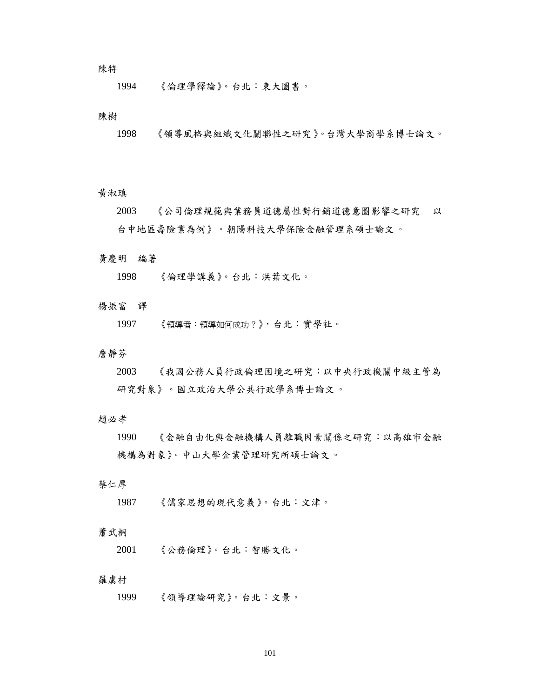## 陳特

1994 《倫理學釋論》。台北:東大圖書。

## 陳樹

1998 《領導風格與組織文化關聯性之研究》。台灣大學商學系博士論文。

## 黃淑瑱

2003 《公司倫理規範與業務員道德屬性對行銷道德意圖影響之研究 一以 台中地區壽險業為例》。朝陽科技大學保險金融管理系碩士論文。

#### 黃慶明 編著

1998 《倫理學講義》。台北:洪葉文化。

## 楊振富 譯

1997 《領導者:領導如何成功?》,台北:實學社。

## 詹靜芬

2003 《我國公務人員行政倫理困境之研究:以中央行政機關中級主管為 研究對象》。國立政治大學公共行政學系博士論文。

#### 趙必孝

1990 《金融自由化與金融機構人員離職因素關係之研究:以高雄市金融 機構為對象》。中山大學企業管理研究所碩士論文。

## 蔡仁厚

1987 《儒家思想的現代意義》。台北:文津。

#### 蕭武桐

2001 《公務倫理》。台北:智勝文化。

#### 羅虞村

1999 《領導理論研究》。台北:文景。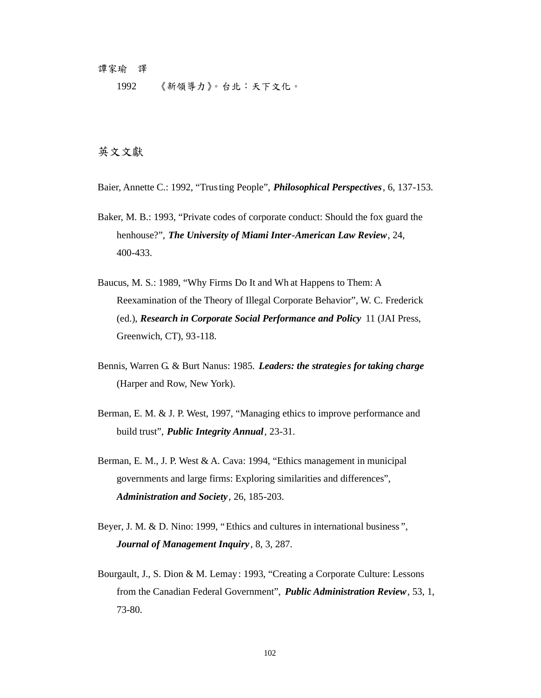#### 譚家瑜 譯

1992 《新領導力》。台北:天下文化。

# **英文文獻**

- Baier, Annette C.: 1992, "Trusting People", *Philosophical Perspectives*, 6, 137-153.
- Baker, M. B.: 1993, "Private codes of corporate conduct: Should the fox guard the henhouse?", *The University of Miami Inter-American Law Review*, 24, 400-433.
- Baucus, M. S.: 1989, "Why Firms Do It and Wh at Happens to Them: A Reexamination of the Theory of Illegal Corporate Behavior", W. C. Frederick (ed.), *Research in Corporate Social Performance and Policy* 11 (JAI Press, Greenwich, CT), 93-118.
- Bennis, Warren G. & Burt Nanus: 1985. *Leaders: the strategies for taking charge* (Harper and Row, New York).
- Berman, E. M. & J. P. West, 1997, "Managing ethics to improve performance and build trust", *Public Integrity Annual*, 23-31.
- Berman, E. M., J. P. West & A. Cava: 1994, "Ethics management in municipal governments and large firms: Exploring similarities and differences", *Administration and Society*, 26, 185-203.
- Beyer, J. M. & D. Nino: 1999, "Ethics and cultures in international business ", *Journal of Management Inquiry* , 8, 3, 287.
- Bourgault, J., S. Dion & M. Lemay: 1993, "Creating a Corporate Culture: Lessons from the Canadian Federal Government", *Public Administration Review*, 53, 1, 73-80.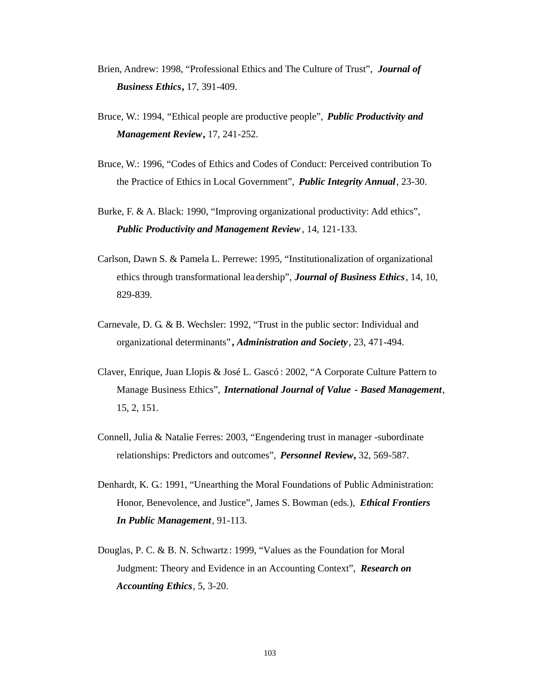- Brien, Andrew: 1998, "Professional Ethics and The Culture of Trust", *Journal of Business Ethics***,** 17, 391-409.
- Bruce, W.: 1994, "Ethical people are productive people", *Public Productivity and Management Review***,** 17, 241-252.
- Bruce, W.: 1996, "Codes of Ethics and Codes of Conduct: Perceived contribution To the Practice of Ethics in Local Government", *Public Integrity Annual*, 23-30.
- Burke, F. & A. Black: 1990, "Improving organizational productivity: Add ethics", *Public Productivity and Management Review*, 14, 121-133.
- Carlson, Dawn S. & Pamela L. Perrewe: 1995, "Institutionalization of organizational ethics through transformational lea dership", *Journal of Business Ethics*, 14, 10, 829-839.
- Carnevale, D. G. & B. Wechsler: 1992, "Trust in the public sector: Individual and organizational determinants" **,** *Administration and Society*, 23, 471-494.
- Claver, Enrique, Juan Llopis & José L. Gascó : 2002, "A Corporate Culture Pattern to Manage Business Ethics", *International Journal of Value - Based Management*, 15, 2, 151.
- Connell, Julia & Natalie Ferres: 2003, "Engendering trust in manager -subordinate relationships: Predictors and outcomes", *Personnel Review***,** 32, 569-587.
- Denhardt, K. G.: 1991, "Unearthing the Moral Foundations of Public Administration: Honor, Benevolence, and Justice", James S. Bowman (eds.), *Ethical Frontiers In Public Management*, 91-113.
- Douglas, P. C. & B. N. Schwartz : 1999, "Values as the Foundation for Moral Judgment: Theory and Evidence in an Accounting Context", *Research on Accounting Ethics*, 5, 3-20.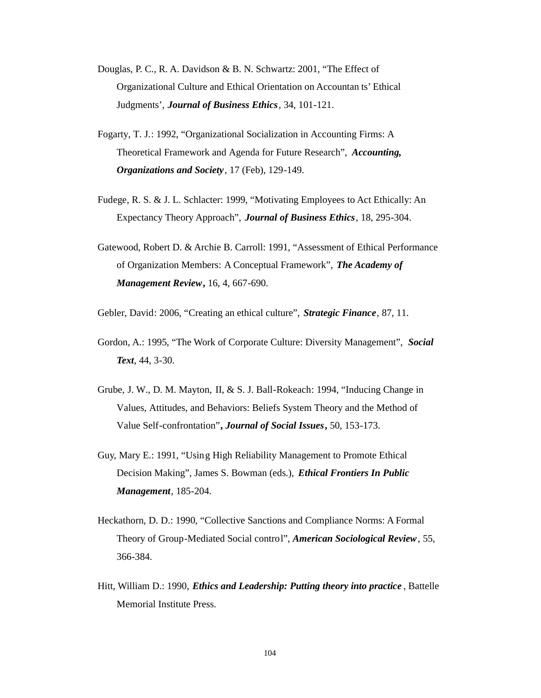- Douglas, P. C., R. A. Davidson & B. N. Schwartz: 2001, "The Effect of Organizational Culture and Ethical Orientation on Accountan ts' Ethical Judgments', *Journal of Business Ethics*, 34, 101-121.
- Fogarty, T. J.: 1992, "Organizational Socialization in Accounting Firms: A Theoretical Framework and Agenda for Future Research", *Accounting, Organizations and Society*, 17 (Feb), 129-149.
- Fudege, R. S. & J. L. Schlacter: 1999, "Motivating Employees to Act Ethically: An Expectancy Theory Approach", *Journal of Business Ethics*, 18, 295-304.
- Gatewood, Robert D. & Archie B. Carroll: 1991, "Assessment of Ethical Performance of Organization Members: A Conceptual Framework", *The Academy of Management Review***,** 16, 4, 667-690.

Gebler, David: 2006, "Creating an ethical culture", *Strategic Finance*, 87, 11.

- Gordon, A.: 1995, "The Work of Corporate Culture: Diversity Management", *Social Text*, 44, 3-30.
- Grube, J. W., D. M. Mayton, II, & S. J. Ball-Rokeach: 1994, "Inducing Change in Values, Attitudes, and Behaviors: Beliefs System Theory and the Method of Value Self-confrontation"**,** *Journal of Social Issues***,** 50, 153-173.
- Guy, Mary E.: 1991, "Using High Reliability Management to Promote Ethical Decision Making", James S. Bowman (eds.), *Ethical Frontiers In Public Management*, 185-204.
- Heckathorn, D. D.: 1990, "Collective Sanctions and Compliance Norms: A Formal Theory of Group-Mediated Social control", *American Sociological Review*, 55, 366-384.
- Hitt, William D.: 1990, *Ethics and Leadership: Putting theory into practice* , Battelle Memorial Institute Press.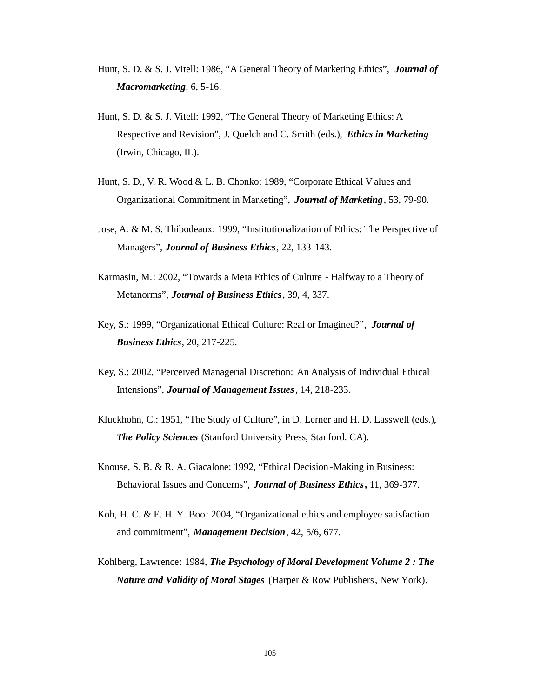- Hunt, S. D. & S. J. Vitell: 1986, "A General Theory of Marketing Ethics", *Journal of Macromarketing*, 6, 5-16.
- Hunt, S. D. & S. J. Vitell: 1992, "The General Theory of Marketing Ethics: A Respective and Revision", J. Quelch and C. Smith (eds.), *Ethics in Marketing* (Irwin, Chicago, IL).
- Hunt, S. D., V. R. Wood & L. B. Chonko: 1989, "Corporate Ethical V alues and Organizational Commitment in Marketing", *Journal of Marketing*, 53, 79-90.
- Jose, A. & M. S. Thibodeaux: 1999, "Institutionalization of Ethics: The Perspective of Managers", *Journal of Business Ethics*, 22, 133-143.
- Karmasin, M.: 2002, "Towards a Meta Ethics of Culture Halfway to a Theory of Metanorms", *Journal of Business Ethics*, 39, 4, 337.
- Key, S.: 1999, "Organizational Ethical Culture: Real or Imagined?", *Journal of Business Ethics*, 20, 217-225.
- Key, S.: 2002, "Perceived Managerial Discretion: An Analysis of Individual Ethical Intensions", *Journal of Management Issues*, 14, 218-233.
- Kluckhohn, C.: 1951, "The Study of Culture", in D. Lerner and H. D. Lasswell (eds.), *The Policy Sciences* (Stanford University Press, Stanford. CA).
- Knouse, S. B. & R. A. Giacalone: 1992, "Ethical Decision -Making in Business: Behavioral Issues and Concerns", *Journal of Business Ethics***,** 11, 369-377.
- Koh, H. C. & E. H. Y. Boo: 2004, "Organizational ethics and employee satisfaction and commitment", *Management Decision*, 42, 5/6, 677.
- Kohlberg, Lawrence: 1984, *The Psychology of Moral Development Volume 2 : The Nature and Validity of Moral Stages* (Harper & Row Publishers, New York).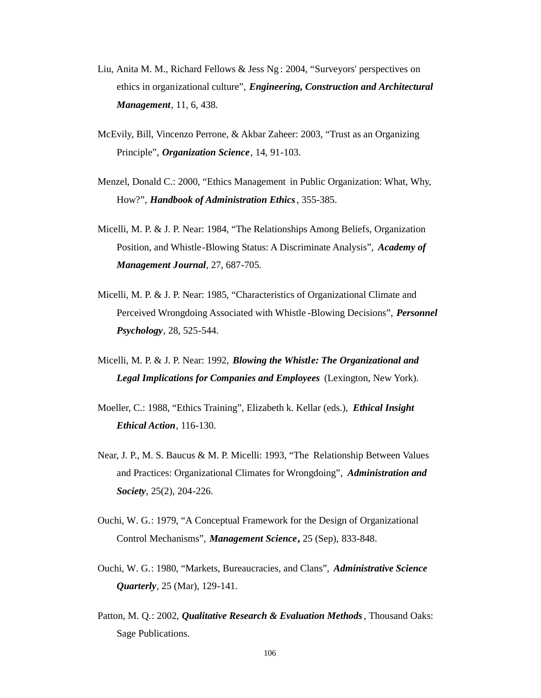- Liu, Anita M. M., Richard Fellows & Jess Ng : 2004, "Surveyors' perspectives on ethics in organizational culture", *Engineering, Construction and Architectural Management*, 11, 6, 438.
- McEvily, Bill, Vincenzo Perrone, & Akbar Zaheer: 2003, "Trust as an Organizing Principle", *Organization Science*, 14, 91-103.
- Menzel, Donald C.: 2000, "Ethics Management in Public Organization: What, Why, How?", *Handbook of Administration Ethics*, 355-385.
- Micelli, M. P. & J. P. Near: 1984, "The Relationships Among Beliefs, Organization Position, and Whistle-Blowing Status: A Discriminate Analysis", *Academy of Management Journal*, 27, 687-705.
- Micelli, M. P. & J. P. Near: 1985, "Characteristics of Organizational Climate and Perceived Wrongdoing Associated with Whistle -Blowing Decisions", *Personnel Psychology*, 28, 525-544.
- Micelli, M. P. & J. P. Near: 1992, *Blowing the Whistle: The Organizational and Legal Implications for Companies and Employees* (Lexington, New York).
- Moeller, C.: 1988, "Ethics Training", Elizabeth k. Kellar (eds.), *Ethical Insight Ethical Action*, 116-130.
- Near, J. P., M. S. Baucus & M. P. Micelli: 1993, "The Relationship Between Values and Practices: Organizational Climates for Wrongdoing", *Administration and Society*, 25(2), 204-226.
- Ouchi, W. G.: 1979, "A Conceptual Framework for the Design of Organizational Control Mechanisms", *Management Science***,** 25 (Sep), 833-848.
- Ouchi, W. G.: 1980, "Markets, Bureaucracies, and Clans", *Administrative Science Quarterly*, 25 (Mar), 129-141.
- Patton, M. Q.: 2002, *Qualitative Research & Evaluation Methods*, Thousand Oaks: Sage Publications.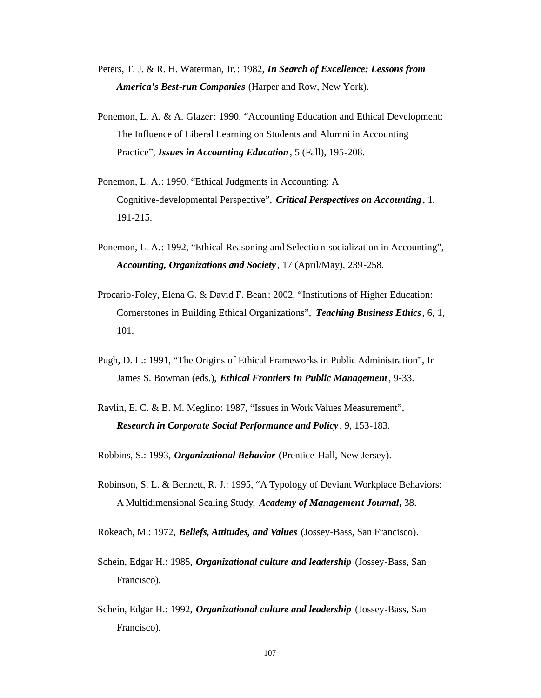- Peters, T. J. & R. H. Waterman, Jr.: 1982, *In Search of Excellence: Lessons from America's Best-run Companies* (Harper and Row, New York).
- Ponemon, L. A. & A. Glazer: 1990, "Accounting Education and Ethical Development: The Influence of Liberal Learning on Students and Alumni in Accounting Practice", *Issues in Accounting Education*, 5 (Fall), 195-208.
- Ponemon, L. A.: 1990, "Ethical Judgments in Accounting: A Cognitive-developmental Perspective", *Critical Perspectives on Accounting* , 1, 191-215.
- Ponemon, L. A.: 1992, "Ethical Reasoning and Selectio n-socialization in Accounting", *Accounting, Organizations and Society* , 17 (April/May), 239-258.
- Procario-Foley, Elena G. & David F. Bean: 2002, "Institutions of Higher Education: Cornerstones in Building Ethical Organizations", *Teaching Business Ethics***,** 6, 1, 101.
- Pugh, D. L.: 1991, "The Origins of Ethical Frameworks in Public Administration", In James S. Bowman (eds.), *Ethical Frontiers In Public Management*, 9-33.
- Ravlin, E. C. & B. M. Meglino: 1987, "Issues in Work Values Measurement", *Research in Corporate Social Performance and Policy* , 9, 153-183.

Robbins, S.: 1993, *Organizational Behavior* (Prentice-Hall, New Jersey).

- Robinson, S. L. & Bennett, R. J.: 1995, "A Typology of Deviant Workplace Behaviors: A Multidimensional Scaling Study, *Academy of Management Journal***,** 38.
- Rokeach, M.: 1972, *Beliefs, Attitudes, and Values* (Jossey-Bass, San Francisco).
- Schein, Edgar H.: 1985, *Organizational culture and leadership* (Jossey-Bass, San Francisco).
- Schein, Edgar H.: 1992, *Organizational culture and leadership* (Jossey-Bass, San Francisco).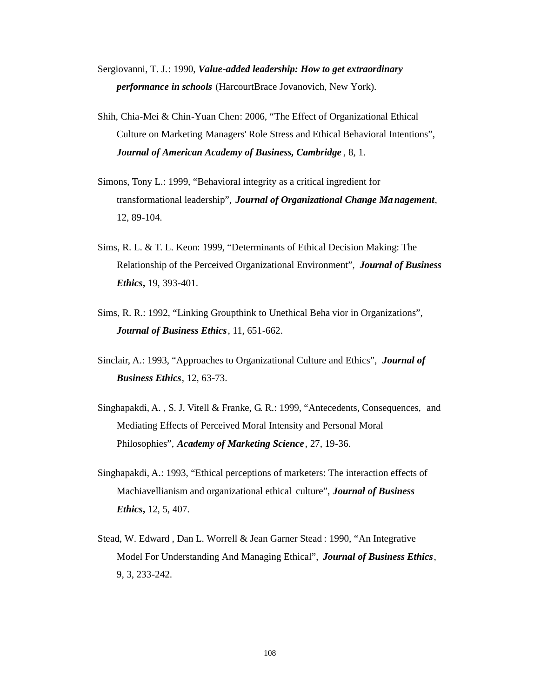- Sergiovanni, T. J.: 1990, *Value-added leadership: How to get extraordinary performance in schools* (HarcourtBrace Jovanovich, New York).
- Shih, Chia-Mei & Chin-Yuan Chen: 2006, "The Effect of Organizational Ethical Culture on Marketing Managers' Role Stress and Ethical Behavioral Intentions", *Journal of American Academy of Business, Cambridge* , 8, 1.
- Simons, Tony L.: 1999, "Behavioral integrity as a critical ingredient for transformational leadership", *Journal of Organizational Change Ma nagement*, 12, 89-104.
- Sims, R. L. & T. L. Keon: 1999, "Determinants of Ethical Decision Making: The Relationship of the Perceived Organizational Environment", *Journal of Business Ethics***,** 19, 393-401.
- Sims, R. R.: 1992, "Linking Groupthink to Unethical Beha vior in Organizations", *Journal of Business Ethics*, 11, 651-662.
- Sinclair, A.: 1993, "Approaches to Organizational Culture and Ethics", *Journal of Business Ethics*, 12, 63-73.
- Singhapakdi, A. , S. J. Vitell & Franke, G. R.: 1999, "Antecedents, Consequences, and Mediating Effects of Perceived Moral Intensity and Personal Moral Philosophies", *Academy of Marketing Science*, 27, 19-36.
- Singhapakdi, A.: 1993, "Ethical perceptions of marketers: The interaction effects of Machiavellianism and organizational ethical culture", *Journal of Business Ethics***,** 12, 5, 407.
- Stead, W. Edward , Dan L. Worrell & Jean Garner Stead : 1990, "An Integrative Model For Understanding And Managing Ethical", *Journal of Business Ethics*, 9, 3, 233-242.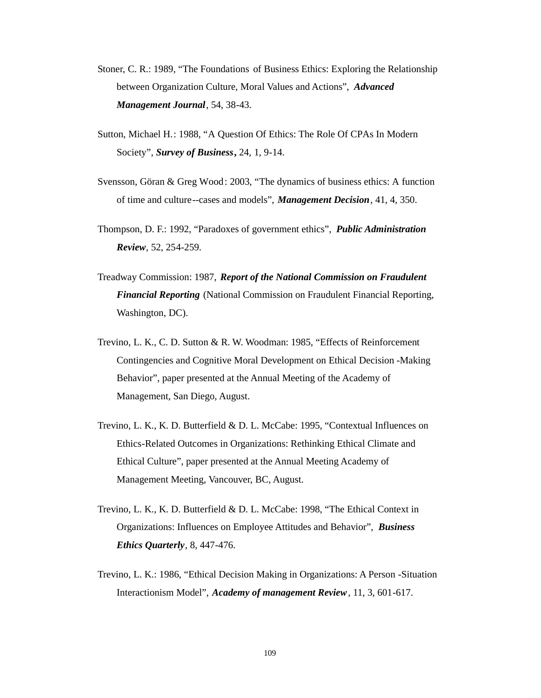- Stoner, C. R.: 1989, "The Foundations of Business Ethics: Exploring the Relationship between Organization Culture, Moral Values and Actions", *Advanced Management Journal*, 54, 38-43.
- Sutton, Michael H.: 1988, "A Question Of Ethics: The Role Of CPAs In Modern Society", *Survey of Business***,** 24, 1, 9-14.
- Svensson, Göran & Greg Wood: 2003, "The dynamics of business ethics: A function of time and culture--cases and models", *Management Decision*, 41, 4, 350.
- Thompson, D. F.: 1992, "Paradoxes of government ethics", *Public Administration Review*, 52, 254-259.
- Treadway Commission: 1987, *Report of the National Commission on Fraudulent Financial Reporting* (National Commission on Fraudulent Financial Reporting, Washington, DC).
- Trevino, L. K., C. D. Sutton & R. W. Woodman: 1985, "Effects of Reinforcement Contingencies and Cognitive Moral Development on Ethical Decision -Making Behavior", paper presented at the Annual Meeting of the Academy of Management, San Diego, August.
- Trevino, L. K., K. D. Butterfield & D. L. McCabe: 1995, "Contextual Influences on Ethics-Related Outcomes in Organizations: Rethinking Ethical Climate and Ethical Culture", paper presented at the Annual Meeting Academy of Management Meeting, Vancouver, BC, August.
- Trevino, L. K., K. D. Butterfield & D. L. McCabe: 1998, "The Ethical Context in Organizations: Influences on Employee Attitudes and Behavior", *Business Ethics Quarterly*, 8, 447-476.
- Trevino, L. K.: 1986, "Ethical Decision Making in Organizations: A Person -Situation Interactionism Model", *Academy of management Review*, 11, 3, 601-617.